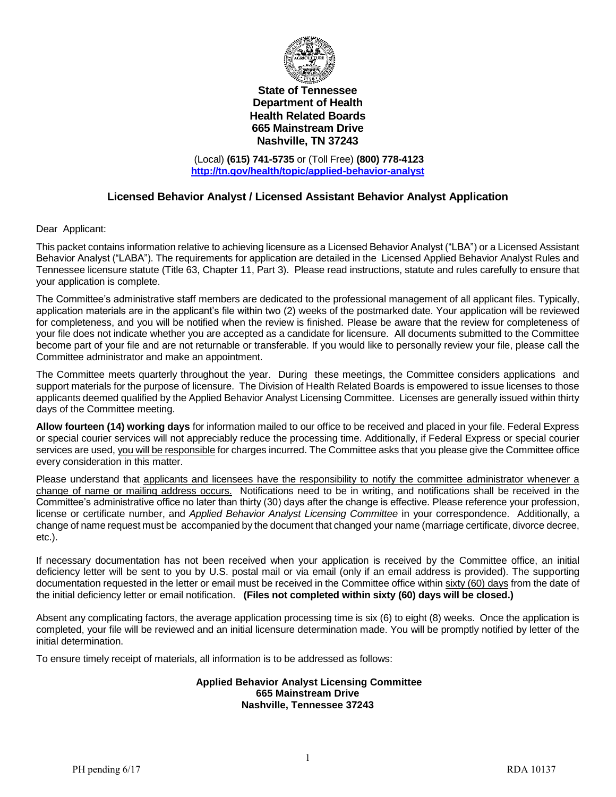

#### **State of Tennessee Department of Health Health Related Boards 665 Mainstream Drive Nashville, TN 37243**

(Local) **(615) 741-5735** or (Toll Free) **(800) 778-4123 <http://tn.gov/health/topic/applied-behavior-analyst>**

### **Licensed Behavior Analyst / Licensed Assistant Behavior Analyst Application**

Dear Applicant:

This packet contains information relative to achieving licensure as a Licensed Behavior Analyst ("LBA") or a Licensed Assistant Behavior Analyst ("LABA"). The requirements for application are detailed in the Licensed Applied Behavior Analyst Rules and Tennessee licensure statute (Title 63, Chapter 11, Part 3). Please read instructions, statute and rules carefully to ensure that your application is complete.

The Committee's administrative staff members are dedicated to the professional management of all applicant files. Typically, application materials are in the applicant's file within two (2) weeks of the postmarked date. Your application will be reviewed for completeness, and you will be notified when the review is finished. Please be aware that the review for completeness of your file does not indicate whether you are accepted as a candidate for licensure. All documents submitted to the Committee become part of your file and are not returnable or transferable. If you would like to personally review your file, please call the Committee administrator and make an appointment.

The Committee meets quarterly throughout the year. During these meetings, the Committee considers applications and support materials for the purpose of licensure. The Division of Health Related Boards is empowered to issue licenses to those applicants deemed qualified by the Applied Behavior Analyst Licensing Committee. Licenses are generally issued within thirty days of the Committee meeting.

**Allow fourteen (14) working days** for information mailed to our office to be received and placed in your file. Federal Express or special courier services will not appreciably reduce the processing time. Additionally, if Federal Express or special courier services are used, you will be responsible for charges incurred. The Committee asks that you please give the Committee office every consideration in this matter.

Please understand that applicants and licensees have the responsibility to notify the committee administrator whenever a change of name or mailing address occurs. Notifications need to be in writing, and notifications shall be received in the Committee's administrative office no later than thirty (30) days after the change is effective. Please reference your profession, license or certificate number, and *Applied Behavior Analyst Licensing Committee* in your correspondence. Additionally, a change of name request must be accompanied by the document that changed your name (marriage certificate, divorce decree, etc.).

If necessary documentation has not been received when your application is received by the Committee office, an initial deficiency letter will be sent to you by U.S. postal mail or via email (only if an email address is provided). The supporting documentation requested in the letter or email must be received in the Committee office within sixty (60) days from the date of the initial deficiency letter or email notification. **(Files not completed within sixty (60) days will be closed.)**

Absent any complicating factors, the average application processing time is six (6) to eight (8) weeks. Once the application is completed, your file will be reviewed and an initial licensure determination made. You will be promptly notified by letter of the initial determination.

To ensure timely receipt of materials, all information is to be addressed as follows:

#### **Applied Behavior Analyst Licensing Committee 665 Mainstream Drive Nashville, Tennessee 37243**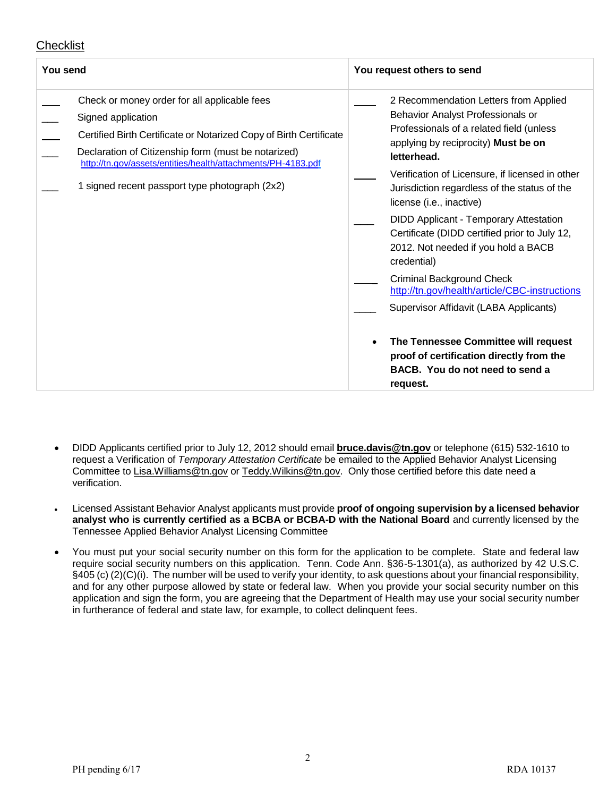# Checklist

| You send                                                                                                                                                                                                                                                                                                          | You request others to send                                                                                                                                                                                                                                                                                                                                                                                                                                                                                                                                                                                                                                                                                                            |
|-------------------------------------------------------------------------------------------------------------------------------------------------------------------------------------------------------------------------------------------------------------------------------------------------------------------|---------------------------------------------------------------------------------------------------------------------------------------------------------------------------------------------------------------------------------------------------------------------------------------------------------------------------------------------------------------------------------------------------------------------------------------------------------------------------------------------------------------------------------------------------------------------------------------------------------------------------------------------------------------------------------------------------------------------------------------|
| Check or money order for all applicable fees<br>Signed application<br>Certified Birth Certificate or Notarized Copy of Birth Certificate<br>Declaration of Citizenship form (must be notarized)<br>http://tn.gov/assets/entities/health/attachments/PH-4183.pdf<br>1 signed recent passport type photograph (2x2) | 2 Recommendation Letters from Applied<br>Behavior Analyst Professionals or<br>Professionals of a related field (unless<br>applying by reciprocity) Must be on<br>letterhead.<br>Verification of Licensure, if licensed in other<br>Jurisdiction regardless of the status of the<br>license (i.e., inactive)<br><b>DIDD Applicant - Temporary Attestation</b><br>Certificate (DIDD certified prior to July 12,<br>2012. Not needed if you hold a BACB<br>credential)<br><b>Criminal Background Check</b><br>http://tn.gov/health/article/CBC-instructions<br>Supervisor Affidavit (LABA Applicants)<br>The Tennessee Committee will request<br>proof of certification directly from the<br>BACB. You do not need to send a<br>request. |

- DIDD Applicants certified prior to July 12, 2012 should email **[bruce.davis@tn.gov](mailto:bruce.davis@tn.gov)** or telephone (615) 532-1610 to request a Verification of *Temporary Attestation Certificate* be emailed to the Applied Behavior Analyst Licensing Committee to [Lisa.Williams@tn.gov](mailto:Lisa.Williams@tn.gov) o[r Teddy.Wilkins@tn.gov.](mailto:Teddy.Wilkins@tn.gov) Only those certified before this date need a verification.
- Licensed Assistant Behavior Analyst applicants must provide **proof of ongoing supervision by a licensed behavior analyst who is currently certified as a BCBA or BCBA-D with the National Board** and currently licensed by the Tennessee Applied Behavior Analyst Licensing Committee
- You must put your social security number on this form for the application to be complete. State and federal law require social security numbers on this application. Tenn. Code Ann. §36-5-1301(a), as authorized by 42 U.S.C. §405 (c) (2)(C)(i). The number will be used to verify your identity, to ask questions about your financial responsibility, and for any other purpose allowed by state or federal law. When you provide your social security number on this application and sign the form, you are agreeing that the Department of Health may use your social security number in furtherance of federal and state law, for example, to collect delinquent fees.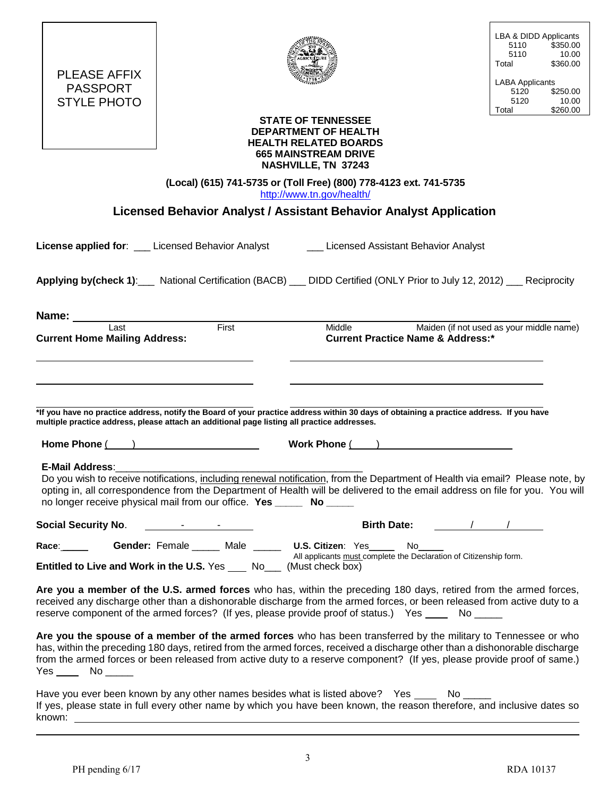| PLEASE AFFIX |
|--------------|
|              |
| PASSPORT     |
| STYLE PHOTO  |
|              |
|              |



LBA & DIDD Applicants<br>5110 \$350.00 5110 \$350.00<br>5110 10.00 5110 10.00<br>Total \$360.00 \$360.00 LABA Applicants<br>5120 \$ 5120 \$250.00 5120 10.00<br>Total \$260.00 \$260.00

#### **STATE OF TENNESSEE DEPARTMENT OF HEALTH HEALTH RELATED BOARDS 665 MAINSTREAM DRIVE NASHVILLE, TN 37243**

| (Local) (615) 741-5735 or (Toll Free) (800) 778-4123 ext. 741-5735 |
|--------------------------------------------------------------------|
| http://www.tn.gov/health/                                          |

**Licensed Behavior Analyst / Assistant Behavior Analyst Application**

| <b>License applied for:</b> ___ Licensed Behavior Analyst                                                                                   | Licensed Assistant Behavior Analyst                                                                                                                                                                                                                                                                                                                                       |
|---------------------------------------------------------------------------------------------------------------------------------------------|---------------------------------------------------------------------------------------------------------------------------------------------------------------------------------------------------------------------------------------------------------------------------------------------------------------------------------------------------------------------------|
|                                                                                                                                             | Applying by(check 1): National Certification (BACB) __ DIDD Certified (ONLY Prior to July 12, 2012) __ Reciprocity                                                                                                                                                                                                                                                        |
| Name: _____________<br>Last                                                                                                                 |                                                                                                                                                                                                                                                                                                                                                                           |
| First<br><b>Current Home Mailing Address:</b>                                                                                               | <b>Middle</b><br>Maiden (if not used as your middle name)<br><b>Current Practice Name &amp; Address:*</b>                                                                                                                                                                                                                                                                 |
|                                                                                                                                             |                                                                                                                                                                                                                                                                                                                                                                           |
| multiple practice address, please attach an additional page listing all practice addresses.                                                 | *If you have no practice address, notify the Board of your practice address within 30 days of obtaining a practice address. If you have                                                                                                                                                                                                                                   |
| Home Phone ( ) Nork Phone ( ) Nork Phone ( )                                                                                                |                                                                                                                                                                                                                                                                                                                                                                           |
| <b>E-Mail Address:</b><br>no longer receive physical mail from our office. Yes ______ No _____                                              | Do you wish to receive notifications, including renewal notification, from the Department of Health via email? Please note, by<br>opting in, all correspondence from the Department of Health will be delivered to the email address on file for you. You will                                                                                                            |
|                                                                                                                                             | Birth Date: 1 1                                                                                                                                                                                                                                                                                                                                                           |
| Race: Gender: Female _____ Male _____ U.S. Citizen: Yes ____ No___<br>Entitled to Live and Work in the U.S. Yes ____ No___ (Must check box) | All applicants must complete the Declaration of Citizenship form.                                                                                                                                                                                                                                                                                                         |
| reserve component of the armed forces? (If yes, please provide proof of status.) Yes No ____                                                | Are you a member of the U.S. armed forces who has, within the preceding 180 days, retired from the armed forces,<br>received any discharge other than a dishonorable discharge from the armed forces, or been released from active duty to a                                                                                                                              |
|                                                                                                                                             | Are you the spouse of a member of the armed forces who has been transferred by the military to Tennessee or who<br>has, within the preceding 180 days, retired from the armed forces, received a discharge other than a dishonorable discharge<br>from the armed forces or been released from active duty to a reserve component? (If yes, please provide proof of same.) |
| Have you ever been known by any other names besides what is listed above? Yes _____ No _____                                                | If yes, please state in full every other name by which you have been known, the reason therefore, and inclusive dates so                                                                                                                                                                                                                                                  |

known: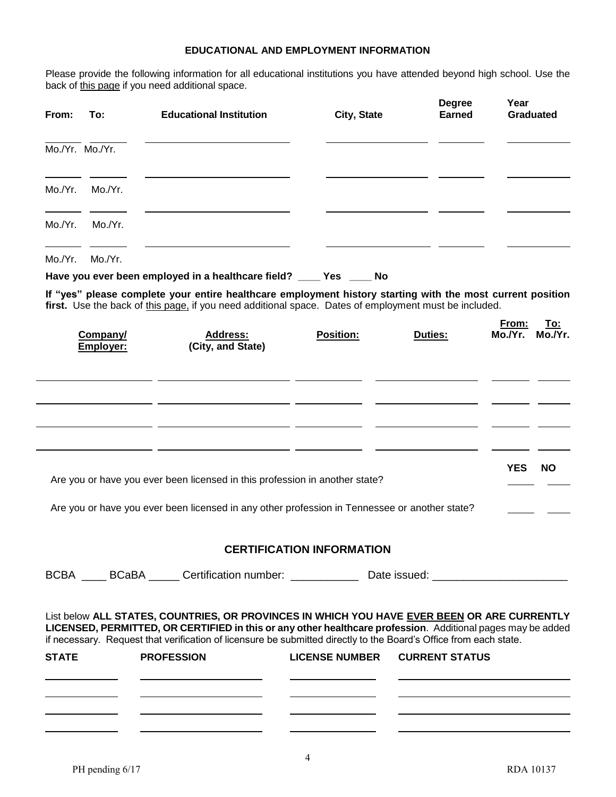### **EDUCATIONAL AND EMPLOYMENT INFORMATION**

Please provide the following information for all educational institutions you have attended beyond high school. Use the back of this page if you need additional space.

| From:        | To:                   | <b>Educational Institution</b>                                                                                                                                                                                                                                                                                                  | City, State                      |                | <b>Degree</b><br><b>Earned</b> | Year             | <b>Graduated</b> |
|--------------|-----------------------|---------------------------------------------------------------------------------------------------------------------------------------------------------------------------------------------------------------------------------------------------------------------------------------------------------------------------------|----------------------------------|----------------|--------------------------------|------------------|------------------|
|              | Mo./Yr. Mo./Yr.       |                                                                                                                                                                                                                                                                                                                                 |                                  |                |                                |                  |                  |
|              | Mo./Yr. Mo./Yr.       | <u> Alexandria de la contrada de la contrada de la contrada de la contrada de la contrada de la contrada de la c</u>                                                                                                                                                                                                            |                                  |                |                                |                  |                  |
|              | Mo./Yr. Mo./Yr.       | <u> Alexandria de la contrada de la contrada de la contrada de la contrada de la contrada de la contrada de la c</u>                                                                                                                                                                                                            |                                  |                |                                |                  |                  |
|              | Mo./Yr. Mo./Yr.       | <u> 1989 - Johann Barnett, fransk politiker (d. 1989)</u>                                                                                                                                                                                                                                                                       |                                  |                |                                |                  |                  |
|              |                       | Have you ever been employed in a healthcare field? ____ Yes ____ No                                                                                                                                                                                                                                                             |                                  |                |                                |                  |                  |
|              |                       | If "yes" please complete your entire healthcare employment history starting with the most current position                                                                                                                                                                                                                      |                                  |                |                                |                  |                  |
|              | Company/<br>Employer: | first. Use the back of this page, if you need additional space. Dates of employment must be included.<br><b>Address:</b><br>(City, and State)                                                                                                                                                                                   | <b>Position:</b>                 | <b>Duties:</b> |                                | From:<br>Mo./Yr. | To:<br>Mo./Yr.   |
|              |                       |                                                                                                                                                                                                                                                                                                                                 |                                  |                |                                |                  |                  |
|              |                       | <u>  La Carteria de la Carteria de la Carteria de la Carteria de la Carteria de la Carteria de la Carteria de la </u>                                                                                                                                                                                                           |                                  |                |                                |                  |                  |
|              |                       |                                                                                                                                                                                                                                                                                                                                 |                                  |                |                                |                  |                  |
|              |                       |                                                                                                                                                                                                                                                                                                                                 |                                  |                |                                |                  |                  |
|              |                       | Are you or have you ever been licensed in this profession in another state?                                                                                                                                                                                                                                                     |                                  |                |                                | <b>YES</b>       | <b>NO</b>        |
|              |                       | Are you or have you ever been licensed in any other profession in Tennessee or another state?                                                                                                                                                                                                                                   |                                  |                |                                |                  |                  |
|              |                       |                                                                                                                                                                                                                                                                                                                                 |                                  |                |                                |                  |                  |
|              |                       |                                                                                                                                                                                                                                                                                                                                 | <b>CERTIFICATION INFORMATION</b> |                |                                |                  |                  |
|              |                       | BCBA BCaBA Certification number: Date issued: BCBA BCaBA BCaBA Certification number:                                                                                                                                                                                                                                            |                                  |                |                                |                  |                  |
|              |                       | List below ALL STATES, COUNTRIES, OR PROVINCES IN WHICH YOU HAVE EVER BEEN OR ARE CURRENTLY<br>LICENSED, PERMITTED, OR CERTIFIED in this or any other healthcare profession. Additional pages may be added<br>if necessary. Request that verification of licensure be submitted directly to the Board's Office from each state. |                                  |                |                                |                  |                  |
| <b>STATE</b> |                       | <b>PROFESSION</b>                                                                                                                                                                                                                                                                                                               | LICENSE NUMBER CURRENT STATUS    |                |                                |                  |                  |
|              |                       | <u> 1980 - Andrea Andrew Maria (h. 1980).</u>                                                                                                                                                                                                                                                                                   |                                  |                |                                |                  |                  |
|              |                       | <u> Alexander (Alexander Alexander Alexander Alexander Alexander Alexander Alexander Alexander Alexander Alexander Alex</u>                                                                                                                                                                                                     |                                  |                |                                |                  |                  |
|              |                       |                                                                                                                                                                                                                                                                                                                                 |                                  |                |                                |                  |                  |

4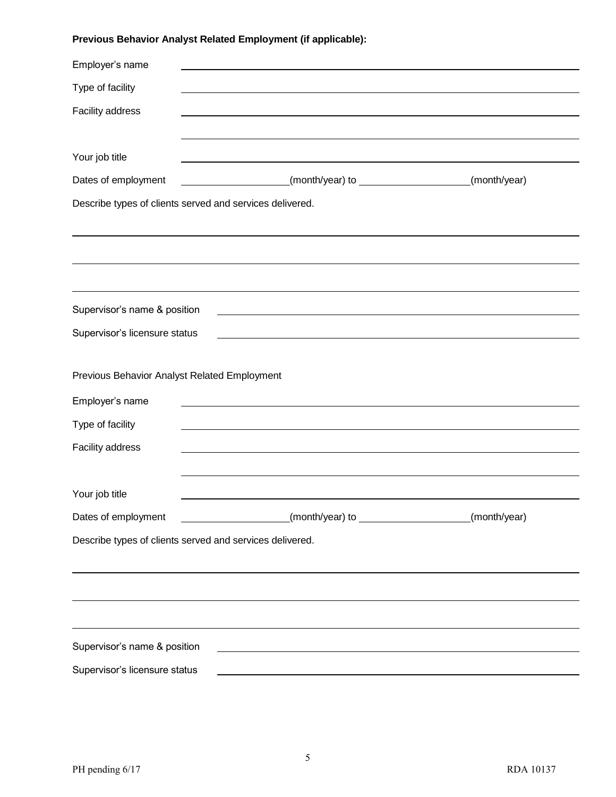# **Previous Behavior Analyst Related Employment (if applicable):**

| Employer's name                              |                                                                                                                      |              |  |  |
|----------------------------------------------|----------------------------------------------------------------------------------------------------------------------|--------------|--|--|
| Type of facility                             |                                                                                                                      |              |  |  |
| Facility address                             |                                                                                                                      |              |  |  |
|                                              |                                                                                                                      |              |  |  |
| Your job title                               |                                                                                                                      |              |  |  |
| Dates of employment                          |                                                                                                                      | (month/year) |  |  |
|                                              | Describe types of clients served and services delivered.                                                             |              |  |  |
|                                              |                                                                                                                      |              |  |  |
|                                              |                                                                                                                      |              |  |  |
|                                              |                                                                                                                      |              |  |  |
|                                              |                                                                                                                      |              |  |  |
| Supervisor's name & position                 |                                                                                                                      |              |  |  |
| Supervisor's licensure status                |                                                                                                                      |              |  |  |
|                                              |                                                                                                                      |              |  |  |
| Previous Behavior Analyst Related Employment |                                                                                                                      |              |  |  |
| Employer's name                              |                                                                                                                      |              |  |  |
| Type of facility                             |                                                                                                                      |              |  |  |
| Facility address                             |                                                                                                                      |              |  |  |
|                                              |                                                                                                                      |              |  |  |
| Your job title                               |                                                                                                                      |              |  |  |
| Dates of employment                          |                                                                                                                      | (month/year) |  |  |
|                                              | Describe types of clients served and services delivered.                                                             |              |  |  |
|                                              |                                                                                                                      |              |  |  |
|                                              |                                                                                                                      |              |  |  |
|                                              |                                                                                                                      |              |  |  |
|                                              |                                                                                                                      |              |  |  |
| Supervisor's name & position                 | <u> 1980 - Johann Barn, mars ann an t-Amhain Aonaich an t-Aonaich an t-Aonaich ann an t-Aonaich ann an t-Aonaich</u> |              |  |  |
| Supervisor's licensure status                |                                                                                                                      |              |  |  |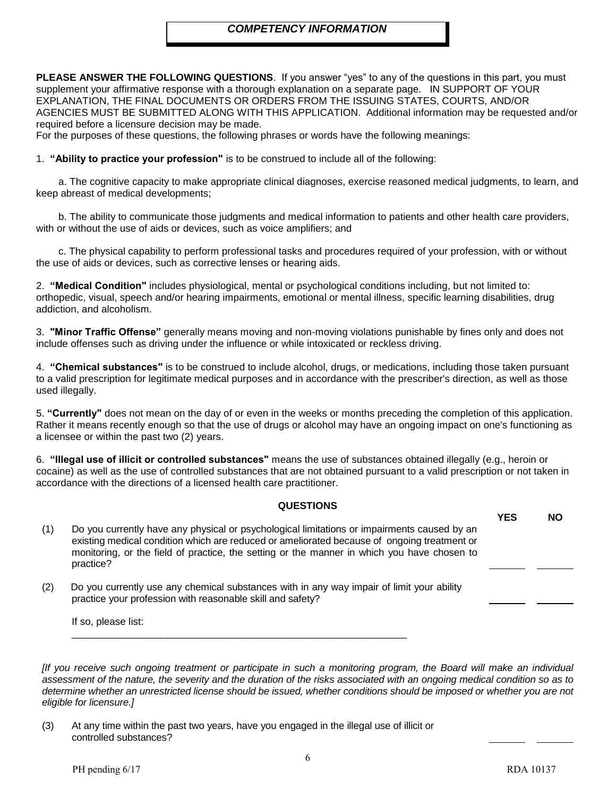### *COMPETENCY INFORMATION*

**PLEASE ANSWER THE FOLLOWING QUESTIONS**. If you answer "yes" to any of the questions in this part, you must supplement your affirmative response with a thorough explanation on a separate page. IN SUPPORT OF YOUR EXPLANATION, THE FINAL DOCUMENTS OR ORDERS FROM THE ISSUING STATES, COURTS, AND/OR AGENCIES MUST BE SUBMITTED ALONG WITH THIS APPLICATION. Additional information may be requested and/or required before a licensure decision may be made.

For the purposes of these questions, the following phrases or words have the following meanings:

#### 1. **"Ability to practice your profession"** is to be construed to include all of the following:

 a. The cognitive capacity to make appropriate clinical diagnoses, exercise reasoned medical judgments, to learn, and keep abreast of medical developments;

 b. The ability to communicate those judgments and medical information to patients and other health care providers, with or without the use of aids or devices, such as voice amplifiers; and

 c. The physical capability to perform professional tasks and procedures required of your profession, with or without the use of aids or devices, such as corrective lenses or hearing aids.

2. **"Medical Condition"** includes physiological, mental or psychological conditions including, but not limited to: orthopedic, visual, speech and/or hearing impairments, emotional or mental illness, specific learning disabilities, drug addiction, and alcoholism.

3. **"Minor Traffic Offense"** generally means moving and non-moving violations punishable by fines only and does not include offenses such as driving under the influence or while intoxicated or reckless driving.

4. **"Chemical substances"** is to be construed to include alcohol, drugs, or medications, including those taken pursuant to a valid prescription for legitimate medical purposes and in accordance with the prescriber's direction, as well as those used illegally.

5. **"Currently"** does not mean on the day of or even in the weeks or months preceding the completion of this application. Rather it means recently enough so that the use of drugs or alcohol may have an ongoing impact on one's functioning as a licensee or within the past two (2) years.

6. **"Illegal use of illicit or controlled substances"** means the use of substances obtained illegally (e.g., heroin or cocaine) as well as the use of controlled substances that are not obtained pursuant to a valid prescription or not taken in accordance with the directions of a licensed health care practitioner.

#### **QUESTIONS**

| (1) | Do you currently have any physical or psychological limitations or impairments caused by an<br>existing medical condition which are reduced or ameliorated because of ongoing treatment or<br>monitoring, or the field of practice, the setting or the manner in which you have chosen to<br>practice? | <b>YES</b> | <b>NO</b> |
|-----|--------------------------------------------------------------------------------------------------------------------------------------------------------------------------------------------------------------------------------------------------------------------------------------------------------|------------|-----------|
| (2) | Do you currently use any chemical substances with in any way impair of limit your ability<br>practice your profession with reasonable skill and safety?                                                                                                                                                |            |           |
|     | If so, please list:                                                                                                                                                                                                                                                                                    |            |           |

*[If you receive such ongoing treatment or participate in such a monitoring program, the Board will make an individual assessment of the nature, the severity and the duration of the risks associated with an ongoing medical condition so as to determine whether an unrestricted license should be issued, whether conditions should be imposed or whether you are not eligible for licensure.]*

(3) At any time within the past two years, have you engaged in the illegal use of illicit or controlled substances?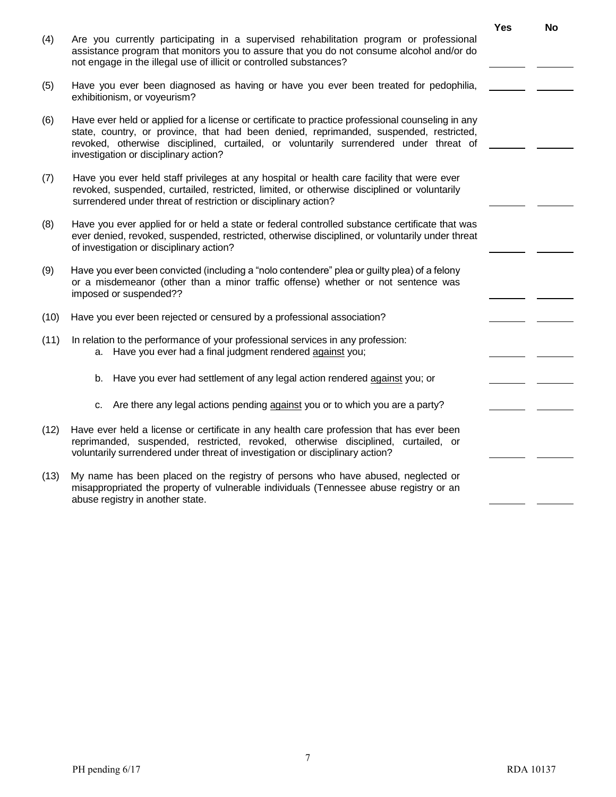|      |                                                                                                                                                                                                                                                                                                                               | <b>Yes</b> | <b>No</b> |  |
|------|-------------------------------------------------------------------------------------------------------------------------------------------------------------------------------------------------------------------------------------------------------------------------------------------------------------------------------|------------|-----------|--|
| (4)  | Are you currently participating in a supervised rehabilitation program or professional<br>assistance program that monitors you to assure that you do not consume alcohol and/or do<br>not engage in the illegal use of illicit or controlled substances?                                                                      |            |           |  |
| (5)  | Have you ever been diagnosed as having or have you ever been treated for pedophilia,<br>exhibitionism, or voyeurism?                                                                                                                                                                                                          |            |           |  |
| (6)  | Have ever held or applied for a license or certificate to practice professional counseling in any<br>state, country, or province, that had been denied, reprimanded, suspended, restricted,<br>revoked, otherwise disciplined, curtailed, or voluntarily surrendered under threat of<br>investigation or disciplinary action? |            |           |  |
| (7)  | Have you ever held staff privileges at any hospital or health care facility that were ever<br>revoked, suspended, curtailed, restricted, limited, or otherwise disciplined or voluntarily<br>surrendered under threat of restriction or disciplinary action?                                                                  |            |           |  |
| (8)  | Have you ever applied for or held a state or federal controlled substance certificate that was<br>ever denied, revoked, suspended, restricted, otherwise disciplined, or voluntarily under threat<br>of investigation or disciplinary action?                                                                                 |            |           |  |
| (9)  | Have you ever been convicted (including a "nolo contendere" plea or guilty plea) of a felony<br>or a misdemeanor (other than a minor traffic offense) whether or not sentence was<br>imposed or suspended??                                                                                                                   |            |           |  |
| (10) | Have you ever been rejected or censured by a professional association?                                                                                                                                                                                                                                                        |            |           |  |
| (11) | In relation to the performance of your professional services in any profession:<br>a. Have you ever had a final judgment rendered against you;                                                                                                                                                                                |            |           |  |
|      | Have you ever had settlement of any legal action rendered against you; or<br>b.                                                                                                                                                                                                                                               |            |           |  |
|      | Are there any legal actions pending against you or to which you are a party?<br>c.                                                                                                                                                                                                                                            |            |           |  |
| (12) | Have ever held a license or certificate in any health care profession that has ever been<br>reprimanded, suspended, restricted, revoked, otherwise disciplined, curtailed, or<br>voluntarily surrendered under threat of investigation or disciplinary action?                                                                |            |           |  |
| (13) | My name has been placed on the registry of persons who have abused, neglected or<br>misappropriated the property of vulnerable individuals (Tennessee abuse registry or an<br>abuse registry in another state.                                                                                                                |            |           |  |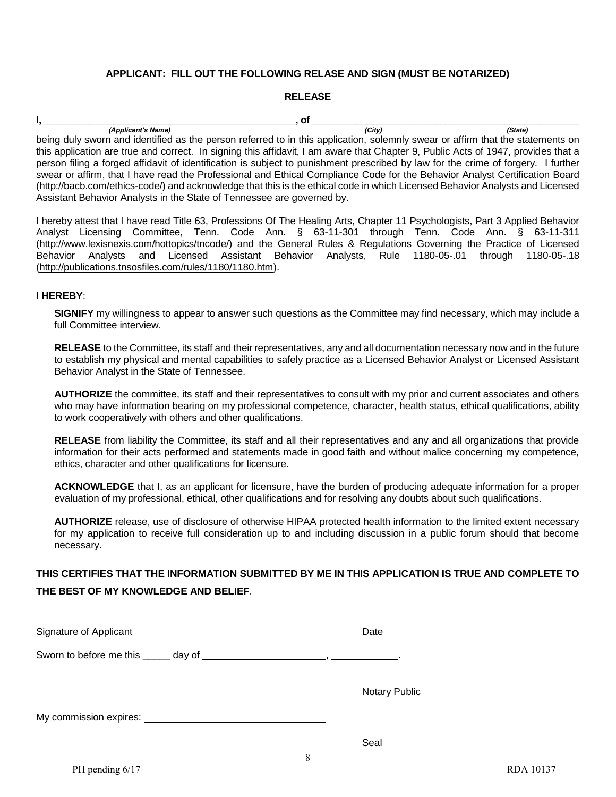#### **APPLICANT: FILL OUT THE FOLLOWING RELASE AND SIGN (MUST BE NOTARIZED)**

#### **RELEASE**

I**, \_\_\_\_\_\_\_\_\_\_\_\_\_\_\_\_\_\_\_\_\_\_\_\_\_\_\_\_\_\_\_\_\_\_\_\_\_\_\_\_\_\_\_\_\_\_\_\_\_\_\_, of \_\_\_\_\_\_\_\_\_\_\_\_\_\_\_\_\_\_\_\_\_\_\_\_\_\_\_\_\_\_\_\_\_\_\_\_\_\_\_\_\_\_\_\_\_\_\_\_\_\_\_\_\_\_**

*(Applicant's Name) (City) (State)* being duly sworn and identified as the person referred to in this application, solemnly swear or affirm that the statements on this application are true and correct. In signing this affidavit, I am aware that Chapter 9, Public Acts of 1947, provides that a person filing a forged affidavit of identification is subject to punishment prescribed by law for the crime of forgery. I further swear or affirm, that I have read the Professional and Ethical Compliance Code for the Behavior Analyst Certification Board [\(http://bacb.com/ethics-code/\)](http://bacb.com/ethics-code/) and acknowledge that this is the ethical code in which Licensed Behavior Analysts and Licensed Assistant Behavior Analysts in the State of Tennessee are governed by.

I hereby attest that I have read Title 63, Professions Of The Healing Arts, Chapter 11 Psychologists, Part 3 Applied Behavior Analyst Licensing Committee, Tenn. Code Ann. § 63-11-301 through Tenn. Code Ann. § 63-11-311 [\(http://www.lexisnexis.com/hottopics/tncode/\)](http://www.lexisnexis.com/hottopics/tncode/) and the General Rules & Regulations Governing the Practice of Licensed Behavior Analysts and Licensed Assistant Behavior Analysts, Rule 1180-05-.01 through 1180-05-.18 [\(http://publications.tnsosfiles.com/rules/1180/1180.htm\)](http://publications.tnsosfiles.com/rules/1180/1180.htm).

#### **I HEREBY**:

**SIGNIFY** my willingness to appear to answer such questions as the Committee may find necessary, which may include a full Committee interview.

**RELEASE** to the Committee, its staff and their representatives, any and all documentation necessary now and in the future to establish my physical and mental capabilities to safely practice as a Licensed Behavior Analyst or Licensed Assistant Behavior Analyst in the State of Tennessee.

**AUTHORIZE** the committee, its staff and their representatives to consult with my prior and current associates and others who may have information bearing on my professional competence, character, health status, ethical qualifications, ability to work cooperatively with others and other qualifications.

**RELEASE** from liability the Committee, its staff and all their representatives and any and all organizations that provide information for their acts performed and statements made in good faith and without malice concerning my competence, ethics, character and other qualifications for licensure.

**ACKNOWLEDGE** that I, as an applicant for licensure, have the burden of producing adequate information for a proper evaluation of my professional, ethical, other qualifications and for resolving any doubts about such qualifications.

**AUTHORIZE** release, use of disclosure of otherwise HIPAA protected health information to the limited extent necessary for my application to receive full consideration up to and including discussion in a public forum should that become necessary.

## **THIS CERTIFIES THAT THE INFORMATION SUBMITTED BY ME IN THIS APPLICATION IS TRUE AND COMPLETE TO THE BEST OF MY KNOWLEDGE AND BELIEF**.

| Signature of Applicant                                                                                                                                                                                                         | Date          |
|--------------------------------------------------------------------------------------------------------------------------------------------------------------------------------------------------------------------------------|---------------|
|                                                                                                                                                                                                                                |               |
|                                                                                                                                                                                                                                | Notary Public |
| My commission expires: New York Changes and Separate Separate Separate Separate Separate Separate Separate Separate Separate Separate Separate Separate Separate Separate Separate Separate Separate Separate Separate Separat |               |
|                                                                                                                                                                                                                                | Seal<br>Q     |